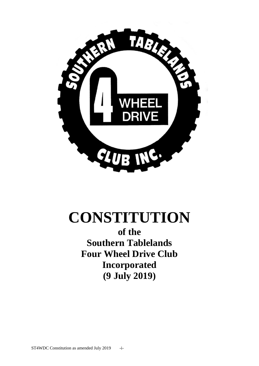

# **CONSTITUTION**

**of the Southern Tablelands Four Wheel Drive Club Incorporated (9 July 2019)**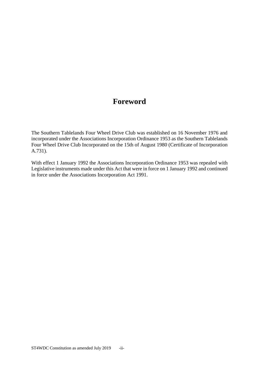## **Foreword**

The Southern Tablelands Four Wheel Drive Club was established on 16 November 1976 and incorporated under the Associations Incorporation Ordinance 1953 as the Southern Tablelands Four Wheel Drive Club Incorporated on the 15th of August 1980 (Certificate of Incorporation A.731).

With effect 1 January 1992 the Associations Incorporation Ordinance 1953 was repealed with Legislative instruments made under this Act that were in force on 1 January 1992 and continued in force under the Associations Incorporation Act 1991.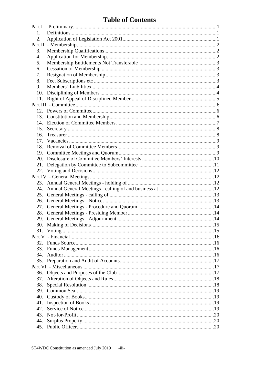## **Table of Contents**

| $1_{\cdot}$ |  |  |  |  |
|-------------|--|--|--|--|
| 2.          |  |  |  |  |
|             |  |  |  |  |
| 3.          |  |  |  |  |
| 4.          |  |  |  |  |
| 5.          |  |  |  |  |
| 6.          |  |  |  |  |
| 7.          |  |  |  |  |
| 8.          |  |  |  |  |
| 9.          |  |  |  |  |
| 10.         |  |  |  |  |
| 11.         |  |  |  |  |
|             |  |  |  |  |
|             |  |  |  |  |
|             |  |  |  |  |
|             |  |  |  |  |
|             |  |  |  |  |
| 16.         |  |  |  |  |
| 17.         |  |  |  |  |
|             |  |  |  |  |
|             |  |  |  |  |
|             |  |  |  |  |
|             |  |  |  |  |
| 21.         |  |  |  |  |
|             |  |  |  |  |
|             |  |  |  |  |
|             |  |  |  |  |
| 24.         |  |  |  |  |
|             |  |  |  |  |
| 26.         |  |  |  |  |
| 27.         |  |  |  |  |
|             |  |  |  |  |
|             |  |  |  |  |
|             |  |  |  |  |
| 31.         |  |  |  |  |
|             |  |  |  |  |
|             |  |  |  |  |
| 33.         |  |  |  |  |
| 34.         |  |  |  |  |
|             |  |  |  |  |
|             |  |  |  |  |
|             |  |  |  |  |
| 37.         |  |  |  |  |
| 38.         |  |  |  |  |
| 39.         |  |  |  |  |
| 40.         |  |  |  |  |
| 41.         |  |  |  |  |
| 42.         |  |  |  |  |
| 43.         |  |  |  |  |
| 44.         |  |  |  |  |
| 45.         |  |  |  |  |
|             |  |  |  |  |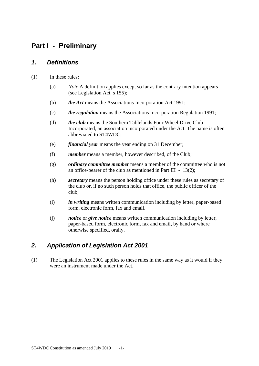## <span id="page-3-0"></span>**Part I - Preliminary**

#### <span id="page-3-1"></span>*1. Definitions*

- (1) In these rules:
	- (a) *Note* A definition applies except so far as the contrary intention appears (see Legislation Act, s 155);
	- (b) *the Act* means the Associations Incorporation Act 1991;
	- (c) *the regulation* means the Associations Incorporation Regulation 1991;
	- (d) *the club* means the Southern Tablelands Four Wheel Drive Club Incorporated, an association incorporated under the Act. The name is often abbreviated to ST4WDC;
	- (e) *financial year* means the year ending on 31 December;
	- (f) *member* means a member, however described, of the Club;
	- (g) *ordinary committee member* means a member of the committee who is not an office-bearer of the club as mentioned in Part III  $-13(2)$ ;
	- (h) *secretary* means the person holding office under these rules as secretary of the club or, if no such person holds that office, the public officer of the club;
	- (i) *in writing* means written communication including by letter, paper-based form, electronic form, fax and email.
	- (j) *notice* or *give notice* means written communication including by letter, paper-based form, electronic form, fax and email, by hand or where otherwise specified, orally.

#### <span id="page-3-2"></span>*2. Application of Legislation Act 2001*

(1) The Legislation Act 2001 applies to these rules in the same way as it would if they were an instrument made under the Act.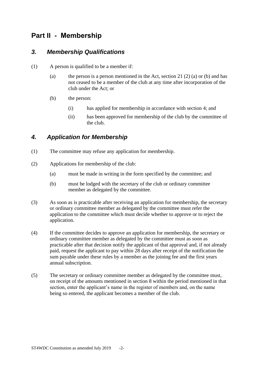## <span id="page-4-0"></span>**Part II - Membership**

#### <span id="page-4-1"></span>*3. Membership Qualifications*

- (1) A person is qualified to be a member if:
	- (a) the person is a person mentioned in the Act, section 21 (2) (a) or (b) and has not ceased to be a member of the club at any time after incorporation of the club under the Act; or
	- (b) the person:
		- (i) has applied for membership in accordance with section [4;](#page-4-2) and
		- (ii) has been approved for membership of the club by the committee of the club.

#### <span id="page-4-2"></span>*4. Application for Membership*

- (1) The committee may refuse any application for membership.
- (2) Applications for membership of the club:
	- (a) must be made in writing in the form specified by the committee; and
	- (b) must be lodged with the secretary of the club or ordinary committee member as delegated by the committee.
- (3) As soon as is practicable after receiving an application for membership, the secretary or ordinary committee member as delegated by the committee must refer the application to the committee which must decide whether to approve or to reject the application.
- (4) If the committee decides to approve an application for membership, the secretary or ordinary committee member as delegated by the committee must as soon as practicable after that decision notify the applicant of that approval and, if not already paid, request the applicant to pay within 28 days after receipt of the notification the sum payable under these rules by a member as the joining fee and the first years annual subscription.
- (5) The secretary or ordinary committee member as delegated by the committee must, on receipt of the amounts mentioned in section [8](#page-5-3) within the period mentioned in that section, enter the applicant's name in the register of members and, on the name being so entered, the applicant becomes a member of the club.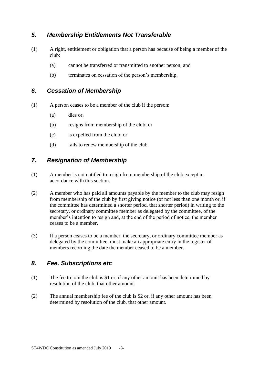#### <span id="page-5-0"></span>*5. Membership Entitlements Not Transferable*

- (1) A right, entitlement or obligation that a person has because of being a member of the club:
	- (a) cannot be transferred or transmitted to another person; and
	- (b) terminates on cessation of the person's membership.

#### <span id="page-5-1"></span>*6. Cessation of Membership*

- (1) A person ceases to be a member of the club if the person:
	- (a) dies or,
	- (b) resigns from membership of the club; or
	- (c) is expelled from the club; or
	- (d) fails to renew membership of the club.

#### <span id="page-5-2"></span>*7. Resignation of Membership*

- (1) A member is not entitled to resign from membership of the club except in accordance with this section.
- (2) A member who has paid all amounts payable by the member to the club may resign from membership of the club by first giving notice (of not less than one month or, if the committee has determined a shorter period, that shorter period) in writing to the secretary, or ordinary committee member as delegated by the committee, of the member's intention to resign and, at the end of the period of notice, the member ceases to be a member.
- (3) If a person ceases to be a member, the secretary, or ordinary committee member as delegated by the committee, must make an appropriate entry in the register of members recording the date the member ceased to be a member.

#### <span id="page-5-3"></span>*8. Fee, Subscriptions etc*

- (1) The fee to join the club is \$1 or, if any other amount has been determined by resolution of the club, that other amount.
- (2) The annual membership fee of the club is \$2 or, if any other amount has been determined by resolution of the club, that other amount.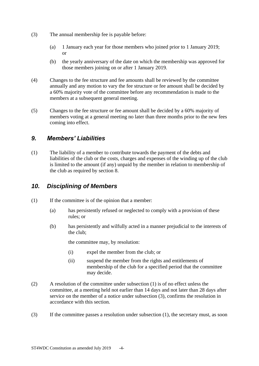- (3) The annual membership fee is payable before:
	- (a) 1 January each year for those members who joined prior to 1 January 2019; or
	- (b) the yearly anniversary of the date on which the membership was approved for those members joining on or after 1 January 2019.
- (4) Changes to the fee structure and fee amounts shall be reviewed by the committee annually and any motion to vary the fee structure or fee amount shall be decided by a 60% majority vote of the committee before any recommendation is made to the members at a subsequent general meeting.
- (5) Changes to the fee structure or fee amount shall be decided by a 60% majority of members voting at a general meeting no later than three months prior to the new fees coming into effect.

#### <span id="page-6-0"></span>*9. Members' Liabilities*

(1) The liability of a member to contribute towards the payment of the debts and liabilities of the club or the costs, charges and expenses of the winding up of the club is limited to the amount (if any) unpaid by the member in relation to membership of the club as required by section [8.](#page-5-3)

#### <span id="page-6-1"></span>*10. Disciplining of Members*

- (1) If the committee is of the opinion that a member:
	- (a) has persistently refused or neglected to comply with a provision of these rules; or
	- (b) has persistently and wilfully acted in a manner prejudicial to the interests of the club;

the committee may, by resolution:

- (i) expel the member from the club; or
- (ii) suspend the member from the rights and entitlements of membership of the club for a specified period that the committee may decide.
- (2) A resolution of the committee under subsection (1) is of no effect unless the committee, at a meeting held not earlier than 14 days and not later than 28 days after service on the member of a notice under subsection (3), confirms the resolution in accordance with this section.
- (3) If the committee passes a resolution under subsection (1), the secretary must, as soon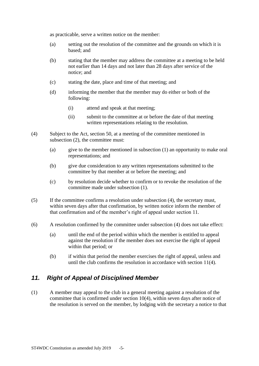as practicable, serve a written notice on the member:

- (a) setting out the resolution of the committee and the grounds on which it is based; and
- (b) stating that the member may address the committee at a meeting to be held not earlier than 14 days and not later than 28 days after service of the notice; and
- (c) stating the date, place and time of that meeting; and
- (d) informing the member that the member may do either or both of the following:
	- (i) attend and speak at that meeting;
	- (ii) submit to the committee at or before the date of that meeting written representations relating to the resolution.
- <span id="page-7-1"></span>(4) Subject to the Act, section 50, at a meeting of the committee mentioned in subsection (2), the committee must:
	- (a) give to the member mentioned in subsection (1) an opportunity to make oral representations; and
	- (b) give due consideration to any written representations submitted to the committee by that member at or before the meeting; and
	- (c) by resolution decide whether to confirm or to revoke the resolution of the committee made under subsection (1).
- (5) If the committee confirms a resolution under subsection [\(4\),](#page-7-1) the secretary must, within seven days after that confirmation, by written notice inform the member of that confirmation and of the member's right of appeal under section 11.
- (6) A resolution confirmed by the committee under subsection [\(4\)](#page-7-1) does not take effect:
	- (a) until the end of the period within which the member is entitled to appeal against the resolution if the member does not exercise the right of appeal within that period; or
	- (b) if within that period the member exercises the right of appeal, unless and until the club confirms the resolution in accordance with section 11(4).

#### <span id="page-7-0"></span>*11. Right of Appeal of Disciplined Member*

(1) A member may appeal to the club in a general meeting against a resolution of the committee that is confirmed under section [10\(4\),](#page-7-1) within seven days after notice of the resolution is served on the member, by lodging with the secretary a notice to that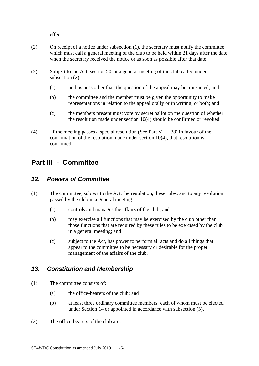effect.

- (2) On receipt of a notice under subsection (1), the secretary must notify the committee which must call a general meeting of the club to be held within 21 days after the date when the secretary received the notice or as soon as possible after that date.
- (3) Subject to the Act, section 50, at a general meeting of the club called under subsection (2):
	- (a) no business other than the question of the appeal may be transacted; and
	- (b) the committee and the member must be given the opportunity to make representations in relation to the appeal orally or in writing, or both; and
	- (c) the members present must vote by secret ballot on the question of whether the resolution made under section [10\(4\)](#page-7-1) should be confirmed or revoked.
- <span id="page-8-4"></span>(4) If the meeting passes a special resolution (See Part VI - 38) in favour of the confirmation of the resolution made under section [10\(4\),](#page-7-1) that resolution is confirmed.

## <span id="page-8-0"></span>**Part III - Committee**

#### <span id="page-8-1"></span>*12. Powers of Committee*

- (1) The committee, subject to the Act, the regulation, these rules, and to any resolution passed by the club in a general meeting:
	- (a) controls and manages the affairs of the club; and
	- (b) may exercise all functions that may be exercised by the club other than those functions that are required by these rules to be exercised by the club in a general meeting; and
	- (c) subject to the Act, has power to perform all acts and do all things that appear to the committee to be necessary or desirable for the proper management of the affairs of the club.

#### <span id="page-8-2"></span>*13. Constitution and Membership*

- (1) The committee consists of:
	- (a) the office-bearers of the club; and
	- (b) at least three ordinary committee members; each of whom must be elected under Section [14](#page-9-0) or appointed in accordance with subsection [\(5\).](#page-9-1)
- <span id="page-8-3"></span>(2) The office-bearers of the club are: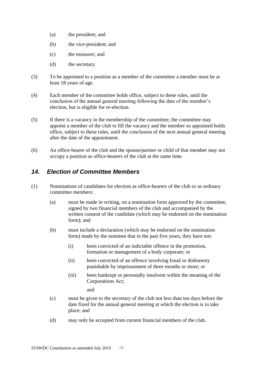- (a) the president; and
- (b) the vice-president; and
- (c) the treasurer; and
- (d) the secretary.
- (3) To be appointed to a position as a member of the committee a member must be at least 18 years of age.
- (4) Each member of the committee holds office, subject to these rules, until the conclusion of the annual general meeting following the date of the member's election, but is eligible for re-election.
- <span id="page-9-1"></span>(5) If there is a vacancy in the membership of the committee, the committee may appoint a member of the club to fill the vacancy and the member so appointed holds office, subject to these rules, until the conclusion of the next annual general meeting after the date of the appointment.
- (6) An office-bearer of the club and the spouse/partner or child of that member may not occupy a position as office-bearers of the club at the same time.

#### <span id="page-9-0"></span>*14. Election of Committee Members*

- (1) Nominations of candidates for election as office-bearers of the club or as ordinary committee members:
	- (a) must be made in writing, on a nomination form approved by the committee, signed by two financial members of the club and accompanied by the written consent of the candidate (which may be endorsed on the nomination form); and
	- (b) must include a declaration (which may be endorsed on the nomination form) made by the nominee that in the past five years, they have not:
		- (i) been convicted of an indictable offence in the promotion, formation or management of a body corporate; or
		- (ii) been convicted of an offence involving fraud or dishonesty punishable by imprisonment of three months or more; or
		- (iii) been bankrupt or personally insolvent within the meaning of the Corporations Act;

and

- (c) must be given to the secretary of the club not less than ten days before the date fixed for the annual general meeting at which the election is to take place; and
- (d) may only be accepted from current financial members of the club.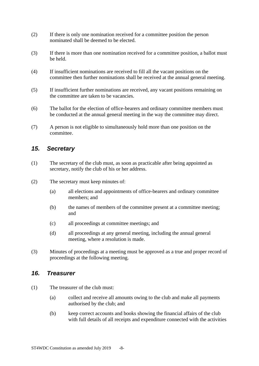- (2) If there is only one nomination received for a committee position the person nominated shall be deemed to be elected.
- (3) If there is more than one nomination received for a committee position, a ballot must be held.
- (4) If insufficient nominations are received to fill all the vacant positions on the committee then further nominations shall be received at the annual general meeting.
- (5) If insufficient further nominations are received, any vacant positions remaining on the committee are taken to be vacancies.
- (6) The ballot for the election of office-bearers and ordinary committee members must be conducted at the annual general meeting in the way the committee may direct.
- (7) A person is not eligible to simultaneously hold more than one position on the committee.

#### <span id="page-10-0"></span>*15. Secretary*

- (1) The secretary of the club must, as soon as practicable after being appointed as secretary, notify the club of his or her address.
- (2) The secretary must keep minutes of:
	- (a) all elections and appointments of office-bearers and ordinary committee members; and
	- (b) the names of members of the committee present at a committee meeting; and
	- (c) all proceedings at committee meetings; and
	- (d) all proceedings at any general meeting, including the annual general meeting, where a resolution is made.
- (3) Minutes of proceedings at a meeting must be approved as a true and proper record of proceedings at the following meeting.

#### <span id="page-10-1"></span>*16. Treasurer*

- (1) The treasurer of the club must:
	- (a) collect and receive all amounts owing to the club and make all payments authorised by the club; and
	- (b) keep correct accounts and books showing the financial affairs of the club with full details of all receipts and expenditure connected with the activities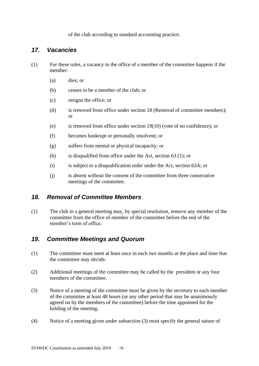of the club according to standard accounting practice.

#### <span id="page-11-0"></span>*17. Vacancies*

- (1) For these rules, a vacancy in the office of a member of the committee happens if the member:
	- (a) dies; or
	- (b) ceases to be a member of the club; or
	- (c) resigns the office; or
	- (d) is removed from office under section [18](#page-11-1) (Removal of committee members); or
	- (e) is removed from office under section [19\(10\)](#page-12-1) (vote of no confidence); or
	- (f) becomes bankrupt or personally insolvent; or
	- (g) suffers from mental or physical incapacity; or
	- (h) is disqualified from office under the Act, section 63 (1); or
	- (i) is subject to a disqualification order under the Act, section 63A; or
	- (j) is absent without the consent of the committee from three consecutive meetings of the committee.

#### <span id="page-11-1"></span>*18. Removal of Committee Members*

<span id="page-11-3"></span>(1) The club in a general meeting may, by special resolution, remove any member of the committee from the office of member of the committee before the end of the member's term of office.

#### <span id="page-11-2"></span>*19. Committee Meetings and Quorum*

- (1) The committee must meet at least once in each two months at the place and time that the committee may decide.
- (2) Additional meetings of the committee may be called by the president or any four members of the committee.
- (3) Notice of a meeting of the committee must be given by the secretary to each member of the committee at least 48 hours (or any other period that may be unanimously agreed on by the members of the committee) before the time appointed for the holding of the meeting.
- (4) Notice of a meeting given under subsection (3) must specify the general nature of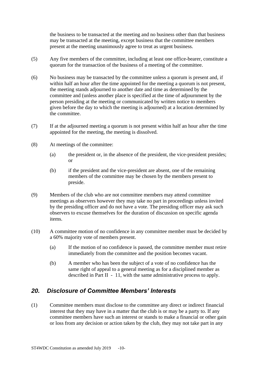the business to be transacted at the meeting and no business other than that business may be transacted at the meeting, except business that the committee members present at the meeting unanimously agree to treat as urgent business.

- (5) Any five members of the committee, including at least one office-bearer, constitute a quorum for the transaction of the business of a meeting of the committee.
- (6) No business may be transacted by the committee unless a quorum is present and, if within half an hour after the time appointed for the meeting a quorum is not present, the meeting stands adjourned to another date and time as determined by the committee and (unless another place is specified at the time of adjournment by the person presiding at the meeting or communicated by written notice to members given before the day to which the meeting is adjourned) at a location determined by the committee.
- (7) If at the adjourned meeting a quorum is not present within half an hour after the time appointed for the meeting, the meeting is dissolved.
- (8) At meetings of the committee:
	- (a) the president or, in the absence of the president, the vice-president presides; or
	- (b) if the president and the vice-president are absent, one of the remaining members of the committee may be chosen by the members present to preside.
- (9) Members of the club who are not committee members may attend committee meetings as observers however they may take no part in proceedings unless invited by the presiding officer and do not have a vote. The presiding officer may ask such observers to excuse themselves for the duration of discussion on specific agenda items.
- <span id="page-12-2"></span><span id="page-12-1"></span>(10) A committee motion of no confidence in any committee member must be decided by a 60% majority vote of members present.
	- (a) If the motion of no confidence is passed, the committee member must retire immediately from the committee and the position becomes vacant.
	- (b) A member who has been the subject of a vote of no confidence has the same right of appeal to a general meeting as for a disciplined member as described in [Part II - 11,](#page-7-0) with the same administrative process to apply.

#### <span id="page-12-0"></span>*20. Disclosure of Committee Members' Interests*

(1) Committee members must disclose to the committee any direct or indirect financial interest that they may have in a matter that the club is or may be a party to. If any committee members have such an interest or stands to make a financial or other gain or loss from any decision or action taken by the club, they may not take part in any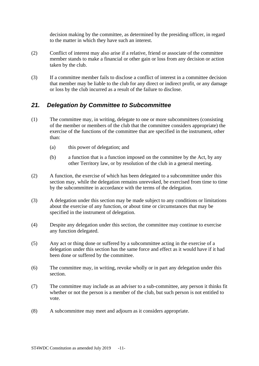decision making by the committee, as determined by the presiding officer, in regard to the matter in which they have such an interest.

- (2) Conflict of interest may also arise if a relative, friend or associate of the committee member stands to make a financial or other gain or loss from any decision or action taken by the club.
- (3) If a committee member fails to disclose a conflict of interest in a committee decision that member may be liable to the club for any direct or indirect profit, or any damage or loss by the club incurred as a result of the failure to disclose.

#### <span id="page-13-0"></span>*21. Delegation by Committee to Subcommittee*

- (1) The committee may, in writing, delegate to one or more subcommittees (consisting of the member or members of the club that the committee considers appropriate) the exercise of the functions of the committee that are specified in the instrument, other than:
	- (a) this power of delegation; and
	- (b) a function that is a function imposed on the committee by the Act, by any other Territory law, or by resolution of the club in a general meeting.
- (2) A function, the exercise of which has been delegated to a subcommittee under this section may, while the delegation remains unrevoked, be exercised from time to time by the subcommittee in accordance with the terms of the delegation.
- (3) A delegation under this section may be made subject to any conditions or limitations about the exercise of any function, or about time or circumstances that may be specified in the instrument of delegation.
- (4) Despite any delegation under this section, the committee may continue to exercise any function delegated.
- (5) Any act or thing done or suffered by a subcommittee acting in the exercise of a delegation under this section has the same force and effect as it would have if it had been done or suffered by the committee.
- (6) The committee may, in writing, revoke wholly or in part any delegation under this section.
- (7) The committee may include as an adviser to a sub-committee, any person it thinks fit whether or not the person is a member of the club, but such person is not entitled to vote.
- (8) A subcommittee may meet and adjourn as it considers appropriate.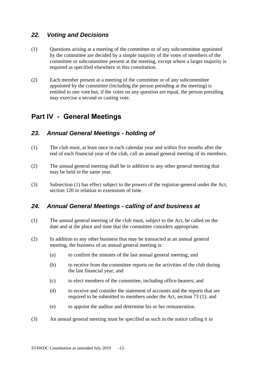#### <span id="page-14-0"></span>*22. Voting and Decisions*

- (1) Questions arising at a meeting of the committee or of any subcommittee appointed by the committee are decided by a simple majority of the votes of members of the committee or subcommittee present at the meeting, except where a larger majority is required as specified elsewhere in this constitution.
- (2) Each member present at a meeting of the committee or of any subcommittee appointed by the committee (including the person presiding at the meeting) is entitled to one vote but, if the votes on any question are equal, the person presiding may exercise a second or casting vote.

## <span id="page-14-1"></span>**Part IV - General Meetings**

#### <span id="page-14-2"></span>*23. Annual General Meetings - holding of*

- (1) The club must, at least once in each calendar year and within five months after the end of each financial year of the club, call an annual general meeting of its members.
- (2) The annual general meeting shall be in addition to any other general meeting that may be held in the same year.
- (3) Subsection (1) has effect subject to the powers of the registrar-general under the Act, section 120 in relation to extensions of time.

#### <span id="page-14-3"></span>*24. Annual General Meetings - calling of and business at*

- (1) The annual general meeting of the club must, subject to the Act, be called on the date and at the place and time that the committee considers appropriate.
- (2) In addition to any other business that may be transacted at an annual general meeting, the business of an annual general meeting is:
	- (a) to confirm the minutes of the last annual general meeting; and
	- (b) to receive from the committee reports on the activities of the club during the last financial year; and
	- (c) to elect members of the committee, including office-bearers; and
	- (d) to receive and consider the statement of accounts and the reports that are required to be submitted to members under the Act, section 73 (1); and
	- (e) to appoint the auditor and determine his or her remuneration.
- (3) An annual general meeting must be specified as such in the notice calling it in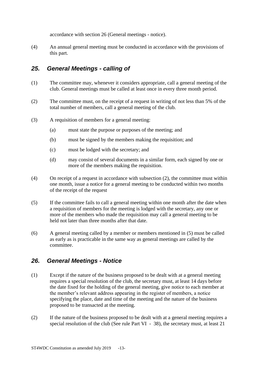accordance with section [26](#page-15-1) (General meetings - notice).

(4) An annual general meeting must be conducted in accordance with the provisions of this part.

#### <span id="page-15-0"></span>*25. General Meetings - calling of*

- (1) The committee may, whenever it considers appropriate, call a general meeting of the club. General meetings must be called at least once in every three month period.
- <span id="page-15-2"></span>(2) The committee must, on the receipt of a request in writing of not less than 5% of the total number of members, call a general meeting of the club.
- (3) A requisition of members for a general meeting:
	- (a) must state the purpose or purposes of the meeting; and
	- (b) must be signed by the members making the requisition; and
	- (c) must be lodged with the secretary; and
	- (d) may consist of several documents in a similar form, each signed by one or more of the members making the requisition.
- (4) On receipt of a request in accordance with subsection [\(2\),](#page-15-2) the committee must within one month, issue a notice for a general meeting to be conducted within two months of the receipt of the request
- <span id="page-15-3"></span>(5) If the committee fails to call a general meeting within one month after the date when a requisition of members for the meeting is lodged with the secretary, any one or more of the members who made the requisition may call a general meeting to be held not later than three months after that date.
- (6) A general meeting called by a member or members mentioned in [\(5\)](#page-15-3) must be called as early as is practicable in the same way as general meetings are called by the committee.

#### <span id="page-15-1"></span>*26. General Meetings - Notice*

- <span id="page-15-4"></span>(1) Except if the nature of the business proposed to be dealt with at a general meeting requires a special resolution of the club, the secretary must, at least 14 days before the date fixed for the holding of the general meeting, give notice to each member at the member's relevant address appearing in the register of members, a notice specifying the place, date and time of the meeting and the nature of the business proposed to be transacted at the meeting.
- (2) If the nature of the business proposed to be dealt with at a general meeting requires a special resolution of the club (See rule [Part VI - 38\)](#page-20-1), the secretary must, at least 21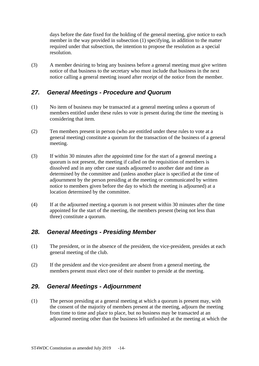days before the date fixed for the holding of the general meeting, give notice to each member in the way provided in subsection [\(1\)](#page-15-4) specifying, in addition to the matter required under that subsection, the intention to propose the resolution as a special resolution.

(3) A member desiring to bring any business before a general meeting must give written notice of that business to the secretary who must include that business in the next notice calling a general meeting issued after receipt of the notice from the member.

#### <span id="page-16-0"></span>*27. General Meetings - Procedure and Quorum*

- (1) No item of business may be transacted at a general meeting unless a quorum of members entitled under these rules to vote is present during the time the meeting is considering that item.
- (2) Ten members present in person (who are entitled under these rules to vote at a general meeting) constitute a quorum for the transaction of the business of a general meeting.
- (3) If within 30 minutes after the appointed time for the start of a general meeting a quorum is not present, the meeting if called on the requisition of members is dissolved and in any other case stands adjourned to another date and time as determined by the committee and (unless another place is specified at the time of adjournment by the person presiding at the meeting or communicated by written notice to members given before the day to which the meeting is adjourned) at a location determined by the committee.
- (4) If at the adjourned meeting a quorum is not present within 30 minutes after the time appointed for the start of the meeting, the members present (being not less than three) constitute a quorum.

#### <span id="page-16-1"></span>*28. General Meetings - Presiding Member*

- (1) The president, or in the absence of the president, the vice-president, presides at each general meeting of the club.
- (2) If the president and the vice-president are absent from a general meeting, the members present must elect one of their number to preside at the meeting.

#### <span id="page-16-2"></span>*29. General Meetings - Adjournment*

(1) The person presiding at a general meeting at which a quorum is present may, with the consent of the majority of members present at the meeting, adjourn the meeting from time to time and place to place, but no business may be transacted at an adjourned meeting other than the business left unfinished at the meeting at which the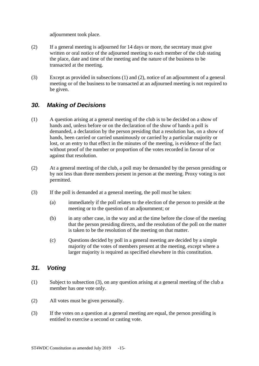adjournment took place.

- (2) If a general meeting is adjourned for 14 days or more, the secretary must give written or oral notice of the adjourned meeting to each member of the club stating the place, date and time of the meeting and the nature of the business to be transacted at the meeting.
- (3) Except as provided in subsections (1) and (2), notice of an adjournment of a general meeting or of the business to be transacted at an adjourned meeting is not required to be given.

#### <span id="page-17-0"></span>*30. Making of Decisions*

- (1) A question arising at a general meeting of the club is to be decided on a show of hands and, unless before or on the declaration of the show of hands a poll is demanded, a declaration by the person presiding that a resolution has, on a show of hands, been carried or carried unanimously or carried by a particular majority or lost, or an entry to that effect in the minutes of the meeting, is evidence of the fact without proof of the number or proportion of the votes recorded in favour of or against that resolution.
- (2) At a general meeting of the club, a poll may be demanded by the person presiding or by not less than three members present in person at the meeting. Proxy voting is not permitted.
- (3) If the poll is demanded at a general meeting, the poll must be taken:
	- (a) immediately if the poll relates to the election of the person to preside at the meeting or to the question of an adjournment; or
	- (b) in any other case, in the way and at the time before the close of the meeting that the person presiding directs, and the resolution of the poll on the matter is taken to be the resolution of the meeting on that matter.
	- (c) Questions decided by poll in a general meeting are decided by a simple majority of the votes of members present at the meeting, except where a larger majority is required as specified elsewhere in this constitution.

#### <span id="page-17-1"></span>*31. Voting*

- (1) Subject to subsection (3), on any question arising at a general meeting of the club a member has one vote only.
- (2) All votes must be given personally.
- (3) If the votes on a question at a general meeting are equal, the person presiding is entitled to exercise a second or casting vote.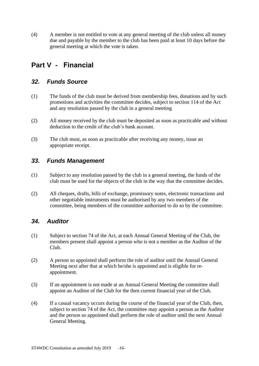(4) A member is not entitled to vote at any general meeting of the club unless all money due and payable by the member to the club has been paid at least 10 days before the general meeting at which the vote is taken.

## <span id="page-18-0"></span>**Part V - Financial**

#### <span id="page-18-1"></span>*32. Funds Source*

- (1) The funds of the club must be derived from membership fees, donations and by such promotions and activities the committee decides, subject to section 114 of the Act and any resolution passed by the club in a general meeting
- (2) All money received by the club must be deposited as soon as practicable and without deduction to the credit of the club's bank account.
- (3) The club must, as soon as practicable after receiving any money, issue an appropriate receipt.

#### <span id="page-18-2"></span>*33. Funds Management*

- (1) Subject to any resolution passed by the club in a general meeting, the funds of the club must be used for the objects of the club in the way that the committee decides.
- (2) All cheques, drafts, bills of exchange, promissory notes, electronic transactions and other negotiable instruments must be authorised by any two members of the committee, being members of the committee authorised to do so by the committee.

#### <span id="page-18-3"></span>*34. Auditor*

- (1) Subject to section 74 of the Act, at each Annual General Meeting of the Club, the members present shall appoint a person who is not a member as the Auditor of the Club.
- (2) A person so appointed shall perform the role of auditor until the Annual General Meeting next after that at which he/she is appointed and is eligible for reappointment.
- (3) If an appointment is not made at an Annual General Meeting the committee shall appoint an Auditor of the Club for the then current financial year of the Club.
- (4) If a casual vacancy occurs during the course of the financial year of the Club, then, subject to section 74 of the Act, the committee may appoint a person as the Auditor and the person so appointed shall perform the role of auditor until the next Annual General Meeting.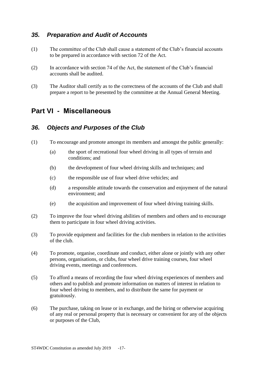#### <span id="page-19-0"></span>*35. Preparation and Audit of Accounts*

- (1) The committee of the Club shall cause a statement of the Club's financial accounts to be prepared in accordance with section 72 of the Act.
- (2) In accordance with section 74 of the Act, the statement of the Club's financial accounts shall be audited.
- (3) The Auditor shall certify as to the correctness of the accounts of the Club and shall prepare a report to be presented by the committee at the Annual General Meeting.

### <span id="page-19-1"></span>**Part VI - Miscellaneous**

#### <span id="page-19-2"></span>*36. Objects and Purposes of the Club*

- (1) To encourage and promote amongst its members and amongst the public generally:
	- (a) the sport of recreational four wheel driving in all types of terrain and conditions; and
	- (b) the development of four wheel driving skills and techniques; and
	- (c) the responsible use of four wheel drive vehicles; and
	- (d) a responsible attitude towards the conservation and enjoyment of the natural environment; and
	- (e) the acquisition and improvement of four wheel driving training skills.
- (2) To improve the four wheel driving abilities of members and others and to encourage them to participate in four wheel driving activities.
- (3) To provide equipment and facilities for the club members in relation to the activities of the club.
- (4) To promote, organise, coordinate and conduct, either alone or jointly with any other persons, organisations, or clubs, four wheel drive training courses, four wheel driving events, meetings and conferences.
- (5) To afford a means of recording the four wheel driving experiences of members and others and to publish and promote information on matters of interest in relation to four wheel driving to members, and to distribute the same for payment or gratuitously.
- (6) The purchase, taking on lease or in exchange, and the hiring or otherwise acquiring of any real or personal property that is necessary or convenient for any of the objects or purposes of the Club,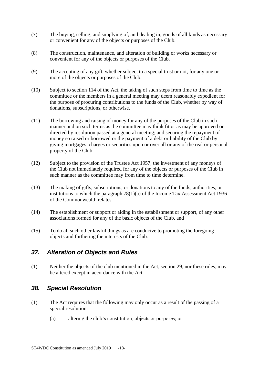- (7) The buying, selling, and supplying of, and dealing in, goods of all kinds as necessary or convenient for any of the objects or purposes of the Club.
- (8) The construction, maintenance, and alteration of building or works necessary or convenient for any of the objects or purposes of the Club.
- (9) The accepting of any gift, whether subject to a special trust or not, for any one or more of the objects or purposes of the Club.
- (10) Subject to section 114 of the Act, the taking of such steps from time to time as the committee or the members in a general meeting may deem reasonably expedient for the purpose of procuring contributions to the funds of the Club, whether by way of donations, subscriptions, or otherwise.
- (11) The borrowing and raising of money for any of the purposes of the Club in such manner and on such terms as the committee may think fit or as may be approved or directed by resolution passed at a general meeting; and securing the repayment of money so raised or borrowed or the payment of a debt or liability of the Club by giving mortgages, charges or securities upon or over all or any of the real or personal property of the Club.
- (12) Subject to the provision of the Trustee Act 1957, the investment of any moneys of the Club not immediately required for any of the objects or purposes of the Club in such manner as the committee may from time to time determine.
- (13) The making of gifts, subscriptions, or donations to any of the funds, authorities, or institutions to which the paragraph 78(1)(a) of the Income Tax Assessment Act 1936 of the Commonwealth relates.
- (14) The establishment or support or aiding in the establishment or support, of any other associations formed for any of the basic objects of the Club, and
- (15) To do all such other lawful things as are conducive to promoting the foregoing objects and furthering the interests of the Club.

#### <span id="page-20-0"></span>*37. Alteration of Objects and Rules*

(1) Neither the objects of the club mentioned in the Act, section 29, nor these rules, may be altered except in accordance with the Act.

#### <span id="page-20-1"></span>*38. Special Resolution*

- (1) The Act requires that the following may only occur as a result of the passing of a special resolution:
	- (a) altering the club's constitution, objects or purposes; or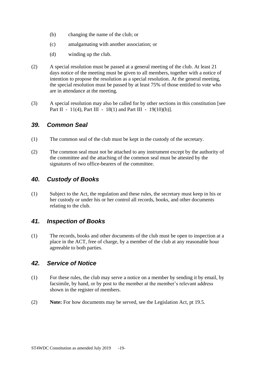- (b) changing the name of the club; or
- (c) amalgamating with another association; or
- (d) winding up the club.
- (2) A special resolution must be passed at a general meeting of the club. At least 21 days notice of the meeting must be given to all members, together with a notice of intention to propose the resolution as a special resolution. At the general meeting, the special resolution must be passed by at least 75% of those entitled to vote who are in attendance at the meeting.
- (3) A special resolution may also be called for by other sections in this constitution [see [Part II - 11\(4\),](#page-8-4) [Part III - 18\(1\)](#page-11-3) and [Part III - 19\(10\)\(b\)\]](#page-12-2).

#### <span id="page-21-0"></span>*39. Common Seal*

- (1) The common seal of the club must be kept in the custody of the secretary.
- (2) The common seal must not be attached to any instrument except by the authority of the committee and the attaching of the common seal must be attested by the signatures of two office-bearers of the committee.

#### <span id="page-21-1"></span>*40. Custody of Books*

(1) Subject to the Act, the regulation and these rules, the secretary must keep in his or her custody or under his or her control all records, books, and other documents relating to the club.

#### <span id="page-21-2"></span>*41. Inspection of Books*

(1) The records, books and other documents of the club must be open to inspection at a place in the ACT, free of charge, by a member of the club at any reasonable hour agreeable to both parties.

#### <span id="page-21-3"></span>*42. Service of Notice*

- (1) For these rules, the club may serve a notice on a member by sending it by email, by facsimile, by hand, or by post to the member at the member's relevant address shown in the register of members.
- (2) **Note:** For how documents may be served, see the Legislation Act, pt 19.5.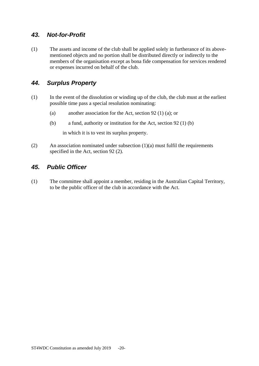#### <span id="page-22-0"></span>*43. Not-for-Profit*

(1) The assets and income of the club shall be applied solely in furtherance of its abovementioned objects and no portion shall be distributed directly or indirectly to the members of the organisation except as bona fide compensation for services rendered or expenses incurred on behalf of the club.

#### <span id="page-22-1"></span>*44. Surplus Property*

- (1) In the event of the dissolution or winding up of the club, the club must at the earliest possible time pass a special resolution nominating:
	- (a) another association for the Act, section 92 (1) (a); or
	- (b) a fund, authority or institution for the Act, section 92 (1) (b)

in which it is to vest its surplus property.

(2) An association nominated under subsection (1)(a) must fulfil the requirements specified in the Act, section 92 (2).

#### <span id="page-22-2"></span>*45. Public Officer*

(1) The committee shall appoint a member, residing in the Australian Capital Territory, to be the public officer of the club in accordance with the Act.